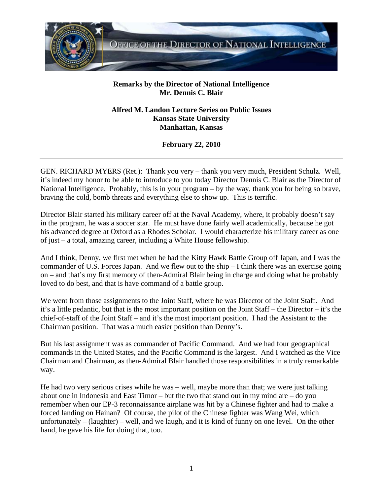

## **Remarks by the Director of National Intelligence Mr. Dennis C. Blair**

## **Alfred M. Landon Lecture Series on Public Issues Kansas State University Manhattan, Kansas**

**February 22, 2010** 

GEN. RICHARD MYERS (Ret.): Thank you very – thank you very much, President Schulz. Well, it's indeed my honor to be able to introduce to you today Director Dennis C. Blair as the Director of National Intelligence. Probably, this is in your program – by the way, thank you for being so brave, braving the cold, bomb threats and everything else to show up. This is terrific.

Director Blair started his military career off at the Naval Academy, where, it probably doesn't say in the program, he was a soccer star. He must have done fairly well academically, because he got his advanced degree at Oxford as a Rhodes Scholar. I would characterize his military career as one of just – a total, amazing career, including a White House fellowship.

And I think, Denny, we first met when he had the Kitty Hawk Battle Group off Japan, and I was the commander of U.S. Forces Japan. And we flew out to the ship – I think there was an exercise going on – and that's my first memory of then-Admiral Blair being in charge and doing what he probably loved to do best, and that is have command of a battle group.

We went from those assignments to the Joint Staff, where he was Director of the Joint Staff. And it's a little pedantic, but that is the most important position on the Joint Staff – the Director – it's the chief-of-staff of the Joint Staff – and it's the most important position. I had the Assistant to the Chairman position. That was a much easier position than Denny's.

But his last assignment was as commander of Pacific Command. And we had four geographical commands in the United States, and the Pacific Command is the largest. And I watched as the Vice Chairman and Chairman, as then-Admiral Blair handled those responsibilities in a truly remarkable way.

He had two very serious crises while he was – well, maybe more than that; we were just talking about one in Indonesia and East Timor – but the two that stand out in my mind are – do you remember when our EP-3 reconnaissance airplane was hit by a Chinese fighter and had to make a forced landing on Hainan? Of course, the pilot of the Chinese fighter was Wang Wei, which unfortunately – (laughter) – well, and we laugh, and it is kind of funny on one level. On the other hand, he gave his life for doing that, too.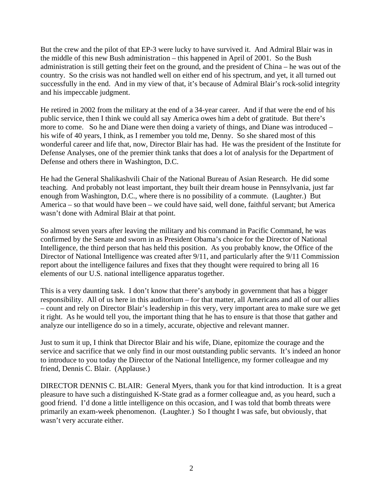But the crew and the pilot of that EP-3 were lucky to have survived it. And Admiral Blair was in the middle of this new Bush administration – this happened in April of 2001. So the Bush administration is still getting their feet on the ground, and the president of China – he was out of the country. So the crisis was not handled well on either end of his spectrum, and yet, it all turned out successfully in the end. And in my view of that, it's because of Admiral Blair's rock-solid integrity and his impeccable judgment.

He retired in 2002 from the military at the end of a 34-year career. And if that were the end of his public service, then I think we could all say America owes him a debt of gratitude. But there's more to come. So he and Diane were then doing a variety of things, and Diane was introduced – his wife of 40 years, I think, as I remember you told me, Denny. So she shared most of this wonderful career and life that, now, Director Blair has had. He was the president of the Institute for Defense Analyses, one of the premier think tanks that does a lot of analysis for the Department of Defense and others there in Washington, D.C.

He had the General Shalikashvili Chair of the National Bureau of Asian Research. He did some teaching. And probably not least important, they built their dream house in Pennsylvania, just far enough from Washington, D.C., where there is no possibility of a commute. (Laughter.) But America – so that would have been – we could have said, well done, faithful servant; but America wasn't done with Admiral Blair at that point.

So almost seven years after leaving the military and his command in Pacific Command, he was confirmed by the Senate and sworn in as President Obama's choice for the Director of National Intelligence, the third person that has held this position. As you probably know, the Office of the Director of National Intelligence was created after 9/11, and particularly after the 9/11 Commission report about the intelligence failures and fixes that they thought were required to bring all 16 elements of our U.S. national intelligence apparatus together.

This is a very daunting task. I don't know that there's anybody in government that has a bigger responsibility. All of us here in this auditorium – for that matter, all Americans and all of our allies – count and rely on Director Blair's leadership in this very, very important area to make sure we get it right. As he would tell you, the important thing that he has to ensure is that those that gather and analyze our intelligence do so in a timely, accurate, objective and relevant manner.

Just to sum it up, I think that Director Blair and his wife, Diane, epitomize the courage and the service and sacrifice that we only find in our most outstanding public servants. It's indeed an honor to introduce to you today the Director of the National Intelligence, my former colleague and my friend, Dennis C. Blair. (Applause.)

DIRECTOR DENNIS C. BLAIR: General Myers, thank you for that kind introduction. It is a great pleasure to have such a distinguished K-State grad as a former colleague and, as you heard, such a good friend. I'd done a little intelligence on this occasion, and I was told that bomb threats were primarily an exam-week phenomenon. (Laughter.) So I thought I was safe, but obviously, that wasn't very accurate either.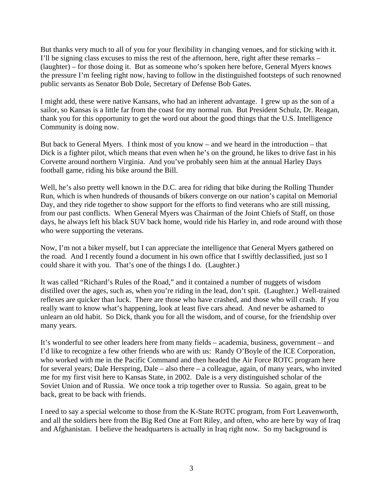But thanks very much to all of you for your flexibility in changing venues, and for sticking with it. I'll be signing class excuses to miss the rest of the afternoon, here, right after these remarks – (laughter) – for those doing it. But as someone who's spoken here before, General Myers knows the pressure I'm feeling right now, having to follow in the distinguished footsteps of such renowned public servants as Senator Bob Dole, Secretary of Defense Bob Gates.

I might add, these were native Kansans, who had an inherent advantage. I grew up as the son of a sailor, so Kansas is a little far from the coast for my normal run. But President Schulz, Dr. Reagan, thank you for this opportunity to get the word out about the good things that the U.S. Intelligence Community is doing now.

But back to General Myers. I think most of you know – and we heard in the introduction – that Dick is a fighter pilot, which means that even when he's on the ground, he likes to drive fast in his Corvette around northern Virginia. And you've probably seen him at the annual Harley Days football game, riding his bike around the Bill.

Well, he's also pretty well known in the D.C. area for riding that bike during the Rolling Thunder Run, which is when hundreds of thousands of bikers converge on our nation's capital on Memorial Day, and they ride together to show support for the efforts to find veterans who are still missing, from our past conflicts. When General Myers was Chairman of the Joint Chiefs of Staff, on those days, he always left his black SUV back home, would ride his Harley in, and rode around with those who were supporting the veterans.

Now, I'm not a biker myself, but I can appreciate the intelligence that General Myers gathered on the road. And I recently found a document in his own office that I swiftly declassified, just so I could share it with you. That's one of the things I do. (Laughter.)

It was called "Richard's Rules of the Road," and it contained a number of nuggets of wisdom distilled over the ages, such as, when you're riding in the lead, don't spit. (Laughter.) Well-trained reflexes are quicker than luck. There are those who have crashed, and those who will crash. If you really want to know what's happening, look at least five cars ahead. And never be ashamed to unlearn an old habit. So Dick, thank you for all the wisdom, and of course, for the friendship over many years.

It's wonderful to see other leaders here from many fields – academia, business, government – and I'd like to recognize a few other friends who are with us: Randy O'Boyle of the ICE Corporation, who worked with me in the Pacific Command and then headed the Air Force ROTC program here for several years; Dale Herspring, Dale – also there – a colleague, again, of many years, who invited me for my first visit here to Kansas State, in 2002. Dale is a very distinguished scholar of the Soviet Union and of Russia. We once took a trip together over to Russia. So again, great to be back, great to be back with friends.

I need to say a special welcome to those from the K-State ROTC program, from Fort Leavenworth, and all the soldiers here from the Big Red One at Fort Riley, and often, who are here by way of Iraq and Afghanistan. I believe the headquarters is actually in Iraq right now. So my background is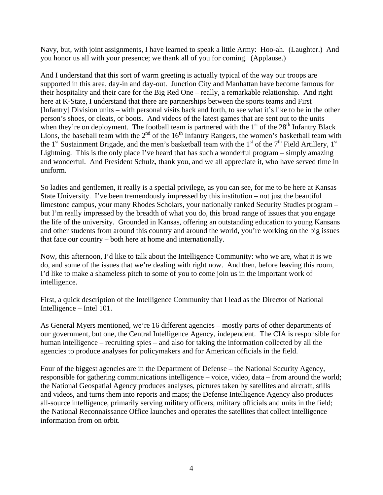Navy, but, with joint assignments, I have learned to speak a little Army: Hoo-ah. (Laughter.) And you honor us all with your presence; we thank all of you for coming. (Applause.)

And I understand that this sort of warm greeting is actually typical of the way our troops are supported in this area, day-in and day-out. Junction City and Manhattan have become famous for their hospitality and their care for the Big Red One – really, a remarkable relationship. And right here at K-State, I understand that there are partnerships between the sports teams and First [Infantry] Division units – with personal visits back and forth, to see what it's like to be in the other person's shoes, or cleats, or boots. And videos of the latest games that are sent out to the units when they're on deployment. The football team is partnered with the  $1<sup>st</sup>$  of the  $28<sup>th</sup>$  Infantry Black Lions, the baseball team with the  $2<sup>nd</sup>$  of the 16<sup>th</sup> Infantry Rangers, the women's basketball team with the 1<sup>st</sup> Sustainment Brigade, and the men's basketball team with the 1<sup>st</sup> of the 7<sup>th</sup> Field Artillery, 1<sup>st</sup> Lightning. This is the only place I've heard that has such a wonderful program – simply amazing and wonderful. And President Schulz, thank you, and we all appreciate it, who have served time in uniform.

So ladies and gentlemen, it really is a special privilege, as you can see, for me to be here at Kansas State University. I've been tremendously impressed by this institution – not just the beautiful limestone campus, your many Rhodes Scholars, your nationally ranked Security Studies program – but I'm really impressed by the breadth of what you do, this broad range of issues that you engage the life of the university. Grounded in Kansas, offering an outstanding education to young Kansans and other students from around this country and around the world, you're working on the big issues that face our country – both here at home and internationally.

Now, this afternoon, I'd like to talk about the Intelligence Community: who we are, what it is we do, and some of the issues that we're dealing with right now. And then, before leaving this room, I'd like to make a shameless pitch to some of you to come join us in the important work of intelligence.

First, a quick description of the Intelligence Community that I lead as the Director of National Intelligence – Intel 101.

As General Myers mentioned, we're 16 different agencies – mostly parts of other departments of our government, but one, the Central Intelligence Agency, independent. The CIA is responsible for human intelligence – recruiting spies – and also for taking the information collected by all the agencies to produce analyses for policymakers and for American officials in the field.

Four of the biggest agencies are in the Department of Defense – the National Security Agency, responsible for gathering communications intelligence – voice, video, data – from around the world; the National Geospatial Agency produces analyses, pictures taken by satellites and aircraft, stills and videos, and turns them into reports and maps; the Defense Intelligence Agency also produces all-source intelligence, primarily serving military officers, military officials and units in the field; the National Reconnaissance Office launches and operates the satellites that collect intelligence information from on orbit.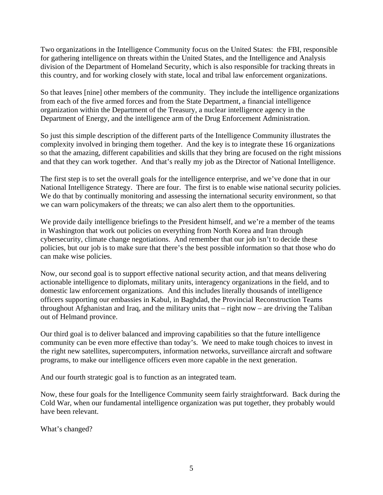Two organizations in the Intelligence Community focus on the United States: the FBI, responsible for gathering intelligence on threats within the United States, and the Intelligence and Analysis division of the Department of Homeland Security, which is also responsible for tracking threats in this country, and for working closely with state, local and tribal law enforcement organizations.

So that leaves [nine] other members of the community. They include the intelligence organizations from each of the five armed forces and from the State Department, a financial intelligence organization within the Department of the Treasury, a nuclear intelligence agency in the Department of Energy, and the intelligence arm of the Drug Enforcement Administration.

So just this simple description of the different parts of the Intelligence Community illustrates the complexity involved in bringing them together. And the key is to integrate these 16 organizations so that the amazing, different capabilities and skills that they bring are focused on the right missions and that they can work together. And that's really my job as the Director of National Intelligence.

The first step is to set the overall goals for the intelligence enterprise, and we've done that in our National Intelligence Strategy. There are four. The first is to enable wise national security policies. We do that by continually monitoring and assessing the international security environment, so that we can warn policymakers of the threats; we can also alert them to the opportunities.

We provide daily intelligence briefings to the President himself, and we're a member of the teams in Washington that work out policies on everything from North Korea and Iran through cybersecurity, climate change negotiations. And remember that our job isn't to decide these policies, but our job is to make sure that there's the best possible information so that those who do can make wise policies.

Now, our second goal is to support effective national security action, and that means delivering actionable intelligence to diplomats, military units, interagency organizations in the field, and to domestic law enforcement organizations. And this includes literally thousands of intelligence officers supporting our embassies in Kabul, in Baghdad, the Provincial Reconstruction Teams throughout Afghanistan and Iraq, and the military units that – right now – are driving the Taliban out of Helmand province.

Our third goal is to deliver balanced and improving capabilities so that the future intelligence community can be even more effective than today's. We need to make tough choices to invest in the right new satellites, supercomputers, information networks, surveillance aircraft and software programs, to make our intelligence officers even more capable in the next generation.

And our fourth strategic goal is to function as an integrated team.

Now, these four goals for the Intelligence Community seem fairly straightforward. Back during the Cold War, when our fundamental intelligence organization was put together, they probably would have been relevant.

What's changed?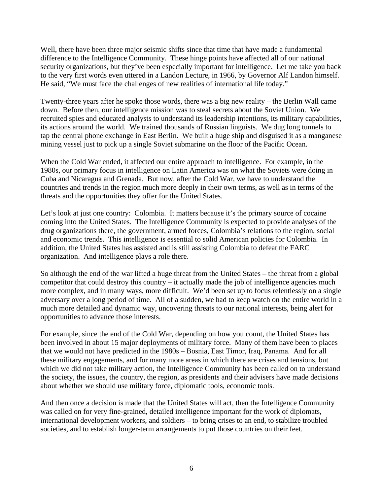Well, there have been three major seismic shifts since that time that have made a fundamental difference to the Intelligence Community. These hinge points have affected all of our national security organizations, but they've been especially important for intelligence. Let me take you back to the very first words even uttered in a Landon Lecture, in 1966, by Governor Alf Landon himself. He said, "We must face the challenges of new realities of international life today."

Twenty-three years after he spoke those words, there was a big new reality – the Berlin Wall came down. Before then, our intelligence mission was to steal secrets about the Soviet Union. We recruited spies and educated analysts to understand its leadership intentions, its military capabilities, its actions around the world. We trained thousands of Russian linguists. We dug long tunnels to tap the central phone exchange in East Berlin. We built a huge ship and disguised it as a manganese mining vessel just to pick up a single Soviet submarine on the floor of the Pacific Ocean.

When the Cold War ended, it affected our entire approach to intelligence. For example, in the 1980s, our primary focus in intelligence on Latin America was on what the Soviets were doing in Cuba and Nicaragua and Grenada. But now, after the Cold War, we have to understand the countries and trends in the region much more deeply in their own terms, as well as in terms of the threats and the opportunities they offer for the United States.

Let's look at just one country: Colombia. It matters because it's the primary source of cocaine coming into the United States. The Intelligence Community is expected to provide analyses of the drug organizations there, the government, armed forces, Colombia's relations to the region, social and economic trends. This intelligence is essential to solid American policies for Colombia. In addition, the United States has assisted and is still assisting Colombia to defeat the FARC organization. And intelligence plays a role there.

So although the end of the war lifted a huge threat from the United States – the threat from a global competitor that could destroy this country – it actually made the job of intelligence agencies much more complex, and in many ways, more difficult. We'd been set up to focus relentlessly on a single adversary over a long period of time. All of a sudden, we had to keep watch on the entire world in a much more detailed and dynamic way, uncovering threats to our national interests, being alert for opportunities to advance those interests.

For example, since the end of the Cold War, depending on how you count, the United States has been involved in about 15 major deployments of military force. Many of them have been to places that we would not have predicted in the 1980s – Bosnia, East Timor, Iraq, Panama. And for all these military engagements, and for many more areas in which there are crises and tensions, but which we did not take military action, the Intelligence Community has been called on to understand the society, the issues, the country, the region, as presidents and their advisers have made decisions about whether we should use military force, diplomatic tools, economic tools.

And then once a decision is made that the United States will act, then the Intelligence Community was called on for very fine-grained, detailed intelligence important for the work of diplomats, international development workers, and soldiers – to bring crises to an end, to stabilize troubled societies, and to establish longer-term arrangements to put those countries on their feet.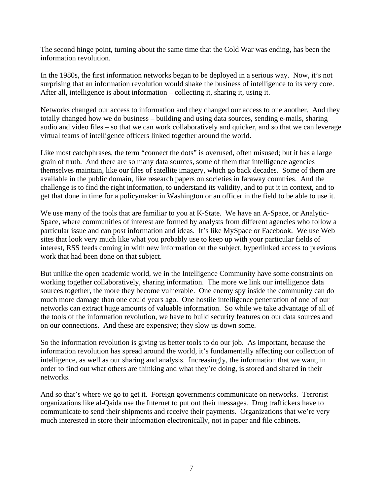The second hinge point, turning about the same time that the Cold War was ending, has been the information revolution.

In the 1980s, the first information networks began to be deployed in a serious way. Now, it's not surprising that an information revolution would shake the business of intelligence to its very core. After all, intelligence is about information – collecting it, sharing it, using it.

Networks changed our access to information and they changed our access to one another. And they totally changed how we do business – building and using data sources, sending e-mails, sharing audio and video files – so that we can work collaboratively and quicker, and so that we can leverage virtual teams of intelligence officers linked together around the world.

Like most catchphrases, the term "connect the dots" is overused, often misused; but it has a large grain of truth. And there are so many data sources, some of them that intelligence agencies themselves maintain, like our files of satellite imagery, which go back decades. Some of them are available in the public domain, like research papers on societies in faraway countries. And the challenge is to find the right information, to understand its validity, and to put it in context, and to get that done in time for a policymaker in Washington or an officer in the field to be able to use it.

We use many of the tools that are familiar to you at K-State. We have an A-Space, or Analytic-Space, where communities of interest are formed by analysts from different agencies who follow a particular issue and can post information and ideas. It's like MySpace or Facebook. We use Web sites that look very much like what you probably use to keep up with your particular fields of interest, RSS feeds coming in with new information on the subject, hyperlinked access to previous work that had been done on that subject.

But unlike the open academic world, we in the Intelligence Community have some constraints on working together collaboratively, sharing information. The more we link our intelligence data sources together, the more they become vulnerable. One enemy spy inside the community can do much more damage than one could years ago. One hostile intelligence penetration of one of our networks can extract huge amounts of valuable information. So while we take advantage of all of the tools of the information revolution, we have to build security features on our data sources and on our connections. And these are expensive; they slow us down some.

So the information revolution is giving us better tools to do our job. As important, because the information revolution has spread around the world, it's fundamentally affecting our collection of intelligence, as well as our sharing and analysis. Increasingly, the information that we want, in order to find out what others are thinking and what they're doing, is stored and shared in their networks.

And so that's where we go to get it. Foreign governments communicate on networks. Terrorist organizations like al-Qaida use the Internet to put out their messages. Drug traffickers have to communicate to send their shipments and receive their payments. Organizations that we're very much interested in store their information electronically, not in paper and file cabinets.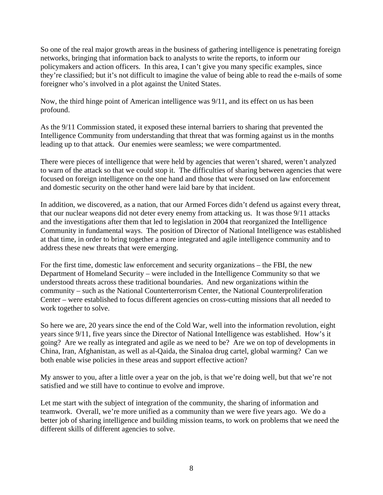So one of the real major growth areas in the business of gathering intelligence is penetrating foreign networks, bringing that information back to analysts to write the reports, to inform our policymakers and action officers. In this area, I can't give you many specific examples, since they're classified; but it's not difficult to imagine the value of being able to read the e-mails of some foreigner who's involved in a plot against the United States.

Now, the third hinge point of American intelligence was 9/11, and its effect on us has been profound.

As the 9/11 Commission stated, it exposed these internal barriers to sharing that prevented the Intelligence Community from understanding that threat that was forming against us in the months leading up to that attack. Our enemies were seamless; we were compartmented.

There were pieces of intelligence that were held by agencies that weren't shared, weren't analyzed to warn of the attack so that we could stop it. The difficulties of sharing between agencies that were focused on foreign intelligence on the one hand and those that were focused on law enforcement and domestic security on the other hand were laid bare by that incident.

In addition, we discovered, as a nation, that our Armed Forces didn't defend us against every threat, that our nuclear weapons did not deter every enemy from attacking us. It was those 9/11 attacks and the investigations after them that led to legislation in 2004 that reorganized the Intelligence Community in fundamental ways. The position of Director of National Intelligence was established at that time, in order to bring together a more integrated and agile intelligence community and to address these new threats that were emerging.

For the first time, domestic law enforcement and security organizations – the FBI, the new Department of Homeland Security – were included in the Intelligence Community so that we understood threats across these traditional boundaries. And new organizations within the community – such as the National Counterterrorism Center, the National Counterproliferation Center – were established to focus different agencies on cross-cutting missions that all needed to work together to solve.

So here we are, 20 years since the end of the Cold War, well into the information revolution, eight years since 9/11, five years since the Director of National Intelligence was established. How's it going? Are we really as integrated and agile as we need to be? Are we on top of developments in China, Iran, Afghanistan, as well as al-Qaida, the Sinaloa drug cartel, global warming? Can we both enable wise policies in these areas and support effective action?

My answer to you, after a little over a year on the job, is that we're doing well, but that we're not satisfied and we still have to continue to evolve and improve.

Let me start with the subject of integration of the community, the sharing of information and teamwork. Overall, we're more unified as a community than we were five years ago. We do a better job of sharing intelligence and building mission teams, to work on problems that we need the different skills of different agencies to solve.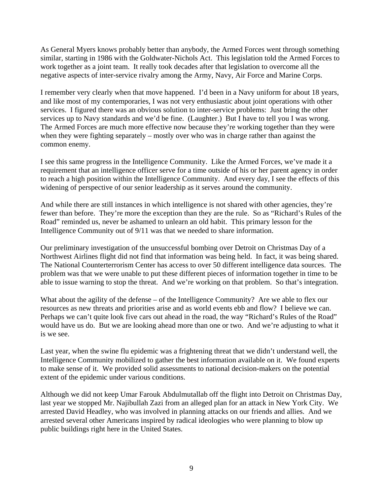As General Myers knows probably better than anybody, the Armed Forces went through something similar, starting in 1986 with the Goldwater-Nichols Act. This legislation told the Armed Forces to work together as a joint team. It really took decades after that legislation to overcome all the negative aspects of inter-service rivalry among the Army, Navy, Air Force and Marine Corps.

I remember very clearly when that move happened. I'd been in a Navy uniform for about 18 years, and like most of my contemporaries, I was not very enthusiastic about joint operations with other services. I figured there was an obvious solution to inter-service problems: Just bring the other services up to Navy standards and we'd be fine. (Laughter.) But I have to tell you I was wrong. The Armed Forces are much more effective now because they're working together than they were when they were fighting separately – mostly over who was in charge rather than against the common enemy.

I see this same progress in the Intelligence Community. Like the Armed Forces, we've made it a requirement that an intelligence officer serve for a time outside of his or her parent agency in order to reach a high position within the Intelligence Community. And every day, I see the effects of this widening of perspective of our senior leadership as it serves around the community.

And while there are still instances in which intelligence is not shared with other agencies, they're fewer than before. They're more the exception than they are the rule. So as "Richard's Rules of the Road" reminded us, never be ashamed to unlearn an old habit. This primary lesson for the Intelligence Community out of 9/11 was that we needed to share information.

Our preliminary investigation of the unsuccessful bombing over Detroit on Christmas Day of a Northwest Airlines flight did not find that information was being held. In fact, it was being shared. The National Counterterrorism Center has access to over 50 different intelligence data sources. The problem was that we were unable to put these different pieces of information together in time to be able to issue warning to stop the threat. And we're working on that problem. So that's integration.

What about the agility of the defense – of the Intelligence Community? Are we able to flex our resources as new threats and priorities arise and as world events ebb and flow? I believe we can. Perhaps we can't quite look five cars out ahead in the road, the way "Richard's Rules of the Road" would have us do. But we are looking ahead more than one or two. And we're adjusting to what it is we see.

Last year, when the swine flu epidemic was a frightening threat that we didn't understand well, the Intelligence Community mobilized to gather the best information available on it. We found experts to make sense of it. We provided solid assessments to national decision-makers on the potential extent of the epidemic under various conditions.

Although we did not keep Umar Farouk Abdulmutallab off the flight into Detroit on Christmas Day, last year we stopped Mr. Najibullah Zazi from an alleged plan for an attack in New York City. We arrested David Headley, who was involved in planning attacks on our friends and allies. And we arrested several other Americans inspired by radical ideologies who were planning to blow up public buildings right here in the United States.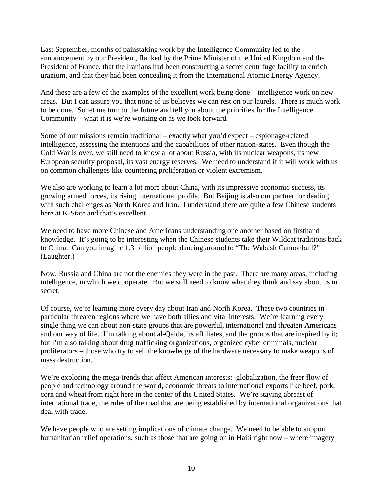Last September, months of painstaking work by the Intelligence Community led to the announcement by our President, flanked by the Prime Minister of the United Kingdom and the President of France, that the Iranians had been constructing a secret centrifuge facility to enrich uranium, and that they had been concealing it from the International Atomic Energy Agency.

And these are a few of the examples of the excellent work being done – intelligence work on new areas. But I can assure you that none of us believes we can rest on our laurels. There is much work to be done. So let me turn to the future and tell you about the priorities for the Intelligence Community – what it is we're working on as we look forward.

Some of our missions remain traditional – exactly what you'd expect – espionage-related intelligence, assessing the intentions and the capabilities of other nation-states. Even though the Cold War is over, we still need to know a lot about Russia, with its nuclear weapons, its new European security proposal, its vast energy reserves. We need to understand if it will work with us on common challenges like countering proliferation or violent extremism.

We also are working to learn a lot more about China, with its impressive economic success, its growing armed forces, its rising international profile. But Beijing is also our partner for dealing with such challenges as North Korea and Iran. I understand there are quite a few Chinese students here at K-State and that's excellent.

We need to have more Chinese and Americans understanding one another based on firsthand knowledge. It's going to be interesting when the Chinese students take their Wildcat traditions back to China. Can you imagine 1.3 billion people dancing around to "The Wabash Cannonball?" (Laughter.)

Now, Russia and China are not the enemies they were in the past. There are many areas, including intelligence, in which we cooperate. But we still need to know what they think and say about us in secret.

Of course, we're learning more every day about Iran and North Korea. These two countries in particular threaten regions where we have both allies and vital interests. We're learning every single thing we can about non-state groups that are powerful, international and threaten Americans and our way of life. I'm talking about al-Qaida, its affiliates, and the groups that are inspired by it; but I'm also talking about drug trafficking organizations, organized cyber criminals, nuclear proliferators – those who try to sell the knowledge of the hardware necessary to make weapons of mass destruction.

We're exploring the mega-trends that affect American interests: globalization, the freer flow of people and technology around the world, economic threats to international exports like beef, pork, corn and wheat from right here in the center of the United States. We're staying abreast of international trade, the rules of the road that are being established by international organizations that deal with trade.

We have people who are setting implications of climate change. We need to be able to support humanitarian relief operations, such as those that are going on in Haiti right now – where imagery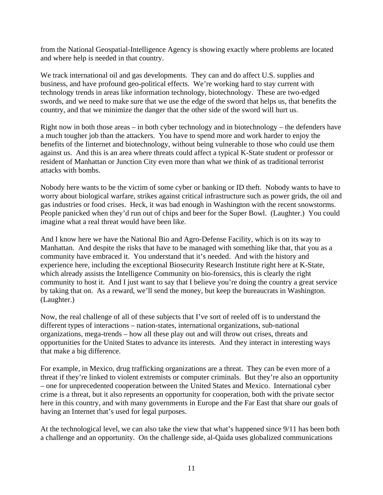from the National Geospatial-Intelligence Agency is showing exactly where problems are located and where help is needed in that country.

We track international oil and gas developments. They can and do affect U.S. supplies and business, and have profound geo-political effects. We're working hard to stay current with technology trends in areas like information technology, biotechnology. These are two-edged swords, and we need to make sure that we use the edge of the sword that helps us, that benefits the country, and that we minimize the danger that the other side of the sword will hurt us.

Right now in both those areas – in both cyber technology and in biotechnology – the defenders have a much tougher job than the attackers. You have to spend more and work harder to enjoy the benefits of the Iinternet and biotechnology, without being vulnerable to those who could use them against us. And this is an area where threats could affect a typical K-State student or professor or resident of Manhattan or Junction City even more than what we think of as traditional terrorist attacks with bombs.

Nobody here wants to be the victim of some cyber or banking or ID theft. Nobody wants to have to worry about biological warfare, strikes against critical infrastructure such as power grids, the oil and gas industries or food crises. Heck, it was bad enough in Washington with the recent snowstorms. People panicked when they'd run out of chips and beer for the Super Bowl. (Laughter.) You could imagine what a real threat would have been like.

And I know here we have the National Bio and Agro-Defense Facility, which is on its way to Manhattan. And despite the risks that have to be managed with something like that, that you as a community have embraced it. You understand that it's needed. And with the history and experience here, including the exceptional Biosecurity Research Institute right here at K-State, which already assists the Intelligence Community on bio-forensics, this is clearly the right community to host it. And I just want to say that I believe you're doing the country a great service by taking that on. As a reward, we'll send the money, but keep the bureaucrats in Washington. (Laughter.)

Now, the real challenge of all of these subjects that I've sort of reeled off is to understand the different types of interactions – nation-states, international organizations, sub-national organizations, mega-trends – how all these play out and will throw out crises, threats and opportunities for the United States to advance its interests. And they interact in interesting ways that make a big difference.

For example, in Mexico, drug trafficking organizations are a threat. They can be even more of a threat if they're linked to violent extremists or computer criminals. But they're also an opportunity – one for unprecedented cooperation between the United States and Mexico. International cyber crime is a threat, but it also represents an opportunity for cooperation, both with the private sector here in this country, and with many governments in Europe and the Far East that share our goals of having an Internet that's used for legal purposes.

At the technological level, we can also take the view that what's happened since 9/11 has been both a challenge and an opportunity. On the challenge side, al-Qaida uses globalized communications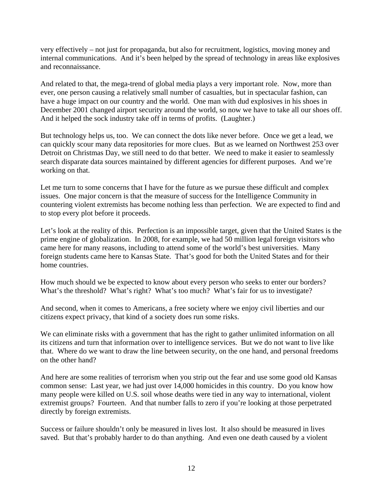very effectively – not just for propaganda, but also for recruitment, logistics, moving money and internal communications. And it's been helped by the spread of technology in areas like explosives and reconnaissance.

And related to that, the mega-trend of global media plays a very important role. Now, more than ever, one person causing a relatively small number of casualties, but in spectacular fashion, can have a huge impact on our country and the world. One man with dud explosives in his shoes in December 2001 changed airport security around the world, so now we have to take all our shoes off. And it helped the sock industry take off in terms of profits. (Laughter.)

But technology helps us, too. We can connect the dots like never before. Once we get a lead, we can quickly scour many data repositories for more clues. But as we learned on Northwest 253 over Detroit on Christmas Day, we still need to do that better. We need to make it easier to seamlessly search disparate data sources maintained by different agencies for different purposes. And we're working on that.

Let me turn to some concerns that I have for the future as we pursue these difficult and complex issues. One major concern is that the measure of success for the Intelligence Community in countering violent extremists has become nothing less than perfection. We are expected to find and to stop every plot before it proceeds.

Let's look at the reality of this. Perfection is an impossible target, given that the United States is the prime engine of globalization. In 2008, for example, we had 50 million legal foreign visitors who came here for many reasons, including to attend some of the world's best universities. Many foreign students came here to Kansas State. That's good for both the United States and for their home countries.

How much should we be expected to know about every person who seeks to enter our borders? What's the threshold? What's right? What's too much? What's fair for us to investigate?

And second, when it comes to Americans, a free society where we enjoy civil liberties and our citizens expect privacy, that kind of a society does run some risks.

We can eliminate risks with a government that has the right to gather unlimited information on all its citizens and turn that information over to intelligence services. But we do not want to live like that. Where do we want to draw the line between security, on the one hand, and personal freedoms on the other hand?

And here are some realities of terrorism when you strip out the fear and use some good old Kansas common sense: Last year, we had just over 14,000 homicides in this country. Do you know how many people were killed on U.S. soil whose deaths were tied in any way to international, violent extremist groups? Fourteen. And that number falls to zero if you're looking at those perpetrated directly by foreign extremists.

Success or failure shouldn't only be measured in lives lost. It also should be measured in lives saved. But that's probably harder to do than anything. And even one death caused by a violent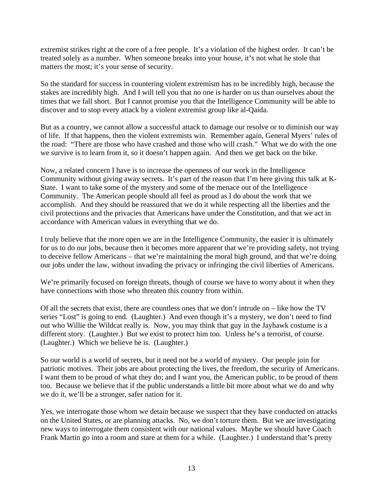extremist strikes right at the core of a free people. It's a violation of the highest order. It can't be treated solely as a number. When someone breaks into your house, it's not what he stole that matters the most; it's your sense of security.

So the standard for success in countering violent extremism has to be incredibly high, because the stakes are incredibly high. And I will tell you that no one is harder on us than ourselves about the times that we fall short. But I cannot promise you that the Intelligence Community will be able to discover and to stop every attack by a violent extremist group like al-Qaida.

But as a country, we cannot allow a successful attack to damage our resolve or to diminish our way of life. If that happens, then the violent extremists win. Remember again, General Myers' rules of the road: "There are those who have crashed and those who will crash." What we do with the one we survive is to learn from it, so it doesn't happen again. And then we get back on the bike.

Now, a related concern I have is to increase the openness of our work in the Intelligence Community without giving away secrets. It's part of the reason that I'm here giving this talk at K-State. I want to take some of the mystery and some of the menace out of the Intelligence Community. The American people should all feel as proud as I do about the work that we accomplish. And they should be reassured that we do it while respecting all the liberties and the civil protections and the privacies that Americans have under the Constitution, and that we act in accordance with American values in everything that we do.

I truly believe that the more open we are in the Intelligence Community, the easier it is ultimately for us to do our jobs, because then it becomes more apparent that we're providing safety, not trying to deceive fellow Americans – that we're maintaining the moral high ground, and that we're doing our jobs under the law, without invading the privacy or infringing the civil liberties of Americans.

We're primarily focused on foreign threats, though of course we have to worry about it when they have connections with those who threaten this country from within.

Of all the secrets that exist, there are countless ones that we don't intrude on – like how the TV series "Lost" is going to end. (Laughter.) And even though it's a mystery, we don't need to find out who Willie the Wildcat really is. Now, you may think that guy in the Jayhawk costume is a different story. (Laughter.) But we exist to protect him too. Unless he's a terrorist, of course. (Laughter.) Which we believe he is. (Laughter.)

So our world is a world of secrets, but it need not be a world of mystery. Our people join for patriotic motives. Their jobs are about protecting the lives, the freedom, the security of Americans. I want them to be proud of what they do; and I want you, the American public, to be proud of them too. Because we believe that if the public understands a little bit more about what we do and why we do it, we'll be a stronger, safer nation for it.

Yes, we interrogate those whom we detain because we suspect that they have conducted on attacks on the United States, or are planning attacks. No, we don't torture them. But we are investigating new ways to interrogate them consistent with our national values. Maybe we should have Coach Frank Martin go into a room and stare at them for a while. (Laughter.) I understand that's pretty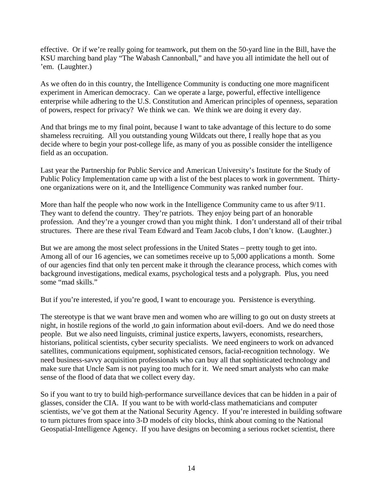effective. Or if we're really going for teamwork, put them on the 50-yard line in the Bill, have the KSU marching band play "The Wabash Cannonball," and have you all intimidate the hell out of 'em. (Laughter.)

As we often do in this country, the Intelligence Community is conducting one more magnificent experiment in American democracy. Can we operate a large, powerful, effective intelligence enterprise while adhering to the U.S. Constitution and American principles of openness, separation of powers, respect for privacy? We think we can. We think we are doing it every day.

And that brings me to my final point, because I want to take advantage of this lecture to do some shameless recruiting. All you outstanding young Wildcats out there, I really hope that as you decide where to begin your post-college life, as many of you as possible consider the intelligence field as an occupation.

Last year the Partnership for Public Service and American University's Institute for the Study of Public Policy Implementation came up with a list of the best places to work in government. Thirtyone organizations were on it, and the Intelligence Community was ranked number four.

More than half the people who now work in the Intelligence Community came to us after 9/11. They want to defend the country. They're patriots. They enjoy being part of an honorable profession. And they're a younger crowd than you might think. I don't understand all of their tribal structures. There are these rival Team Edward and Team Jacob clubs, I don't know. (Laughter.)

But we are among the most select professions in the United States – pretty tough to get into. Among all of our 16 agencies, we can sometimes receive up to 5,000 applications a month. Some of our agencies find that only ten percent make it through the clearance process, which comes with background investigations, medical exams, psychological tests and a polygraph. Plus, you need some "mad skills."

But if you're interested, if you're good, I want to encourage you. Persistence is everything.

The stereotype is that we want brave men and women who are willing to go out on dusty streets at night, in hostile regions of the world ,to gain information about evil-doers. And we do need those people. But we also need linguists, criminal justice experts, lawyers, economists, researchers, historians, political scientists, cyber security specialists. We need engineers to work on advanced satellites, communications equipment, sophisticated censors, facial-recognition technology. We need business-savvy acquisition professionals who can buy all that sophisticated technology and make sure that Uncle Sam is not paying too much for it. We need smart analysts who can make sense of the flood of data that we collect every day.

So if you want to try to build high-performance surveillance devices that can be hidden in a pair of glasses, consider the CIA. If you want to be with world-class mathematicians and computer scientists, we've got them at the National Security Agency. If you're interested in building software to turn pictures from space into 3-D models of city blocks, think about coming to the National Geospatial-Intelligence Agency. If you have designs on becoming a serious rocket scientist, there